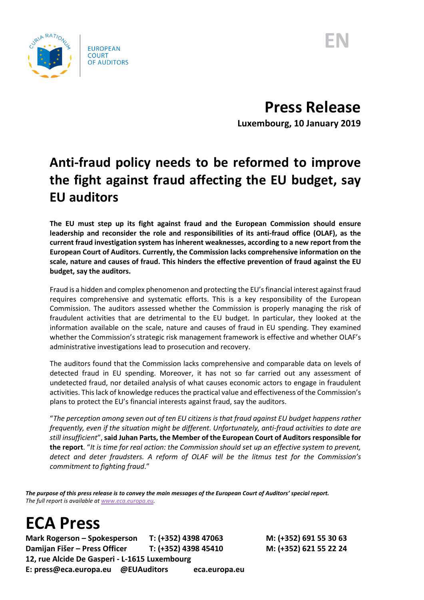



**Press Release Luxembourg, 10 January 2019**

## **Anti-fraud policy needs to be reformed to improve the fight against fraud affecting the EU budget, say EU auditors**

**The EU must step up its fight against fraud and the European Commission should ensure leadership and reconsider the role and responsibilities of its anti-fraud office (OLAF), as the current fraud investigation system has inherent weaknesses, according to a new report from the European Court of Auditors. Currently, the Commission lacks comprehensive information on the scale, nature and causes of fraud. This hinders the effective prevention of fraud against the EU budget, say the auditors.**

Fraud is a hidden and complex phenomenon and protecting the EU's financial interest against fraud requires comprehensive and systematic efforts. This is a key responsibility of the European Commission. The auditors assessed whether the Commission is properly managing the risk of fraudulent activities that are detrimental to the EU budget. In particular, they looked at the information available on the scale, nature and causes of fraud in EU spending. They examined whether the Commission's strategic risk management framework is effective and whether OLAF's administrative investigations lead to prosecution and recovery.

The auditors found that the Commission lacks comprehensive and comparable data on levels of detected fraud in EU spending. Moreover, it has not so far carried out any assessment of undetected fraud, nor detailed analysis of what causes economic actors to engage in fraudulent activities. This lack of knowledge reduces the practical value and effectiveness of the Commission's plans to protect the EU's financial interests against fraud, say the auditors.

"*The perception among seven out of ten EU citizens is that fraud against EU budget happens rather frequently, even if the situation might be different. Unfortunately, anti-fraud activities to date are still insufficient*", **said Juhan Parts, the Member of the European Court of Auditors responsible for the report**. "*It is time for real action: the Commission should set up an effective system to prevent, detect and deter fraudsters. A reform of OLAF will be the litmus test for the Commission's commitment to fighting fraud*."

*The purpose of this press release is to convey the main messages of the European Court of Auditors' special report. The full report is available a[t www.eca.europa.eu.](http://www.eca.europa.eu/)*

## **ECA Press**

**Mark Rogerson – Spokesperson T: (+352) 4398 47063 M: (+352) 691 55 30 63 Damijan Fišer – Press Officer T: (+352) 4398 45410 M: (+352) 621 55 22 24 12, rue Alcide De Gasperi - L-1615 Luxembourg E: press@eca.europa.eu @EUAuditors eca.europa.eu**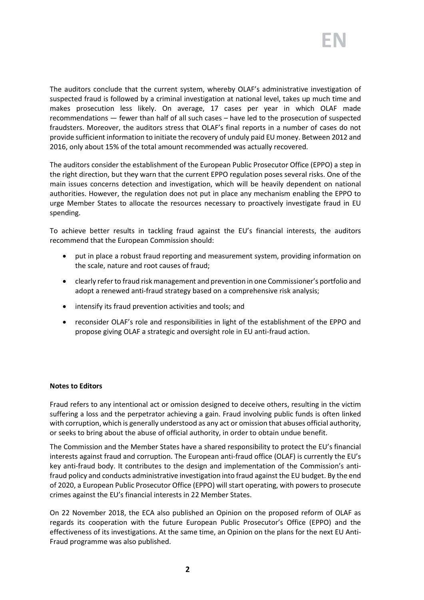The auditors conclude that the current system, whereby OLAF's administrative investigation of suspected fraud is followed by a criminal investigation at national level, takes up much time and makes prosecution less likely. On average, 17 cases per year in which OLAF made recommendations — fewer than half of all such cases – have led to the prosecution of suspected fraudsters. Moreover, the auditors stress that OLAF's final reports in a number of cases do not provide sufficient information to initiate the recovery of unduly paid EU money. Between 2012 and 2016, only about 15% of the total amount recommended was actually recovered.

The auditors consider the establishment of the European Public Prosecutor Office (EPPO) a step in the right direction, but they warn that the current EPPO regulation poses several risks. One of the main issues concerns detection and investigation, which will be heavily dependent on national authorities. However, the regulation does not put in place any mechanism enabling the EPPO to urge Member States to allocate the resources necessary to proactively investigate fraud in EU spending.

To achieve better results in tackling fraud against the EU's financial interests, the auditors recommend that the European Commission should:

- put in place a robust fraud reporting and measurement system, providing information on the scale, nature and root causes of fraud;
- clearly refer to fraud risk management and prevention in one Commissioner's portfolio and adopt a renewed anti-fraud strategy based on a comprehensive risk analysis;
- intensify its fraud prevention activities and tools; and
- reconsider OLAF's role and responsibilities in light of the establishment of the EPPO and propose giving OLAF a strategic and oversight role in EU anti-fraud action.

## **Notes to Editors**

Fraud refers to any intentional act or omission designed to deceive others, resulting in the victim suffering a loss and the perpetrator achieving a gain. Fraud involving public funds is often linked with corruption, which is generally understood as any act or omission that abuses official authority, or seeks to bring about the abuse of official authority, in order to obtain undue benefit.

The Commission and the Member States have a shared responsibility to protect the EU's financial interests against fraud and corruption. The European anti-fraud office (OLAF) is currently the EU's key anti-fraud body. It contributes to the design and implementation of the Commission's antifraud policy and conducts administrative investigation into fraud against the EU budget. By the end of 2020, a European Public Prosecutor Office (EPPO) will start operating, with powers to prosecute crimes against the EU's financial interests in 22 Member States.

On 22 November 2018, the ECA also published an Opinion on the proposed reform of OLAF as regards its cooperation with the future European Public Prosecutor's Office (EPPO) and the effectiveness of its investigations. At the same time, an Opinion on the plans for the next EU Anti-Fraud programme was also published.